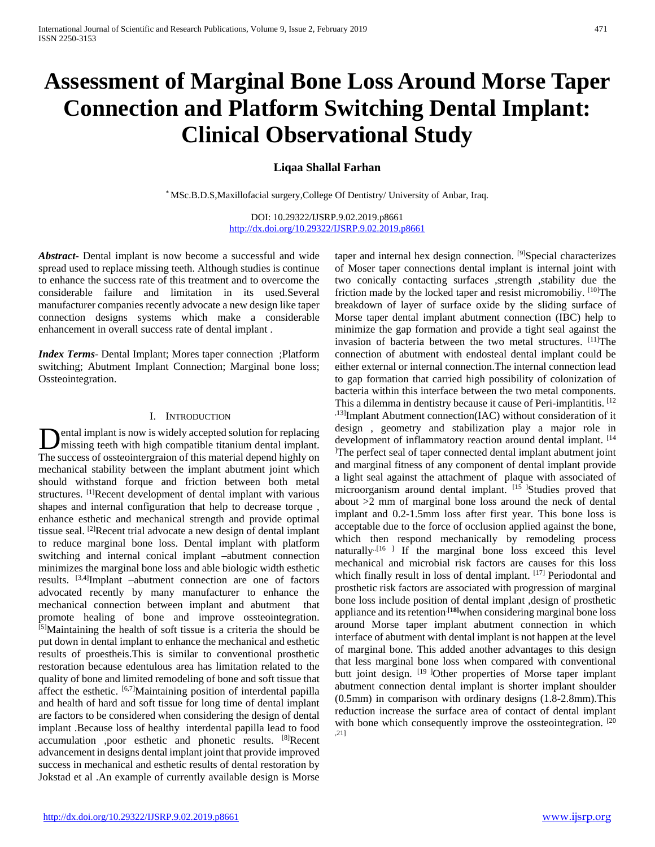# **Assessment of Marginal Bone Loss Around Morse Taper Connection and Platform Switching Dental Implant: Clinical Observational Study**

## **Liqaa Shallal Farhan**

\* MSc.B.D.S,Maxillofacial surgery,College Of Dentistry/ University of Anbar, Iraq.

DOI: 10.29322/IJSRP.9.02.2019.p8661 <http://dx.doi.org/10.29322/IJSRP.9.02.2019.p8661>

*Abstract***-** Dental implant is now become a successful and wide spread used to replace missing teeth. Although studies is continue to enhance the success rate of this treatment and to overcome the considerable failure and limitation in its used.Several manufacturer companies recently advocate a new design like taper connection designs systems which make a considerable enhancement in overall success rate of dental implant .

*Index Terms*- Dental Implant; Mores taper connection ;Platform switching; Abutment Implant Connection; Marginal bone loss; Ossteointegration.

### I. INTRODUCTION

ental implant is now is widely accepted solution for replacing missing teeth with high compatible titanium dental implant. **D**ental implant is now is widely accepted solution for replacing missing teeth with high compatible titanium dental implant.<br>The success of ossteointergraion of this material depend highly on mechanical stability between the implant abutment joint which should withstand forque and friction between both metal structures. [1]Recent development of dental implant with various shapes and internal configuration that help to decrease torque , enhance esthetic and mechanical strength and provide optimal tissue seal. [2]Recent trial advocate a new design of dental implant to reduce marginal bone loss. Dental implant with platform switching and internal conical implant –abutment connection minimizes the marginal bone loss and able biologic width esthetic results. [3,4]Implant –abutment connection are one of factors advocated recently by many manufacturer to enhance the mechanical connection between implant and abutment that promote healing of bone and improve ossteointegration. [5]Maintaining the health of soft tissue is a criteria the should be put down in dental implant to enhance the mechanical and esthetic results of proestheis.This is similar to conventional prosthetic restoration because edentulous area has limitation related to the quality of bone and limited remodeling of bone and soft tissue that affect the esthetic. [6,7]Maintaining position of interdental papilla and health of hard and soft tissue for long time of dental implant are factors to be considered when considering the design of dental implant .Because loss of healthy interdental papilla lead to food accumulation ,poor esthetic and phonetic results. [8]Recent advancement in designs dental implant joint that provide improved success in mechanical and esthetic results of dental restoration by Jokstad et al .An example of currently available design is Morse

taper and internal hex design connection. <sup>[9]</sup>Special characterizes of Moser taper connections dental implant is internal joint with two conically contacting surfaces ,strength ,stability due the friction made by the locked taper and resist micromobiliy.  $[10]$ The breakdown of layer of surface oxide by the sliding surface of Morse taper dental implant abutment connection (IBC) help to minimize the gap formation and provide a tight seal against the invasion of bacteria between the two metal structures. [11]The connection of abutment with endosteal dental implant could be either external or internal connection.The internal connection lead to gap formation that carried high possibility of colonization of bacteria within this interface between the two metal components. This a dilemma in dentistry because it cause of Peri-implantitis. <sup>[12]</sup> ,13]Implant Abutment connection(IAC) without consideration of it design , geometry and stabilization play a major role in development of inflammatory reaction around dental implant. [14] The perfect seal of taper connected dental implant abutment joint and marginal fitness of any component of dental implant provide a light seal against the attachment of plaque with associated of microorganism around dental implant. [15] Studies proved that about >2 mm of marginal bone loss around the neck of dental implant and 0.2-1.5mm loss after first year. This bone loss is acceptable due to the force of occlusion applied against the bone, which then respond mechanically by remodeling process naturally<sup> $-[16]$ </sup> If the marginal bone loss exceed this level mechanical and microbial risk factors are causes for this loss which finally result in loss of dental implant. [17] Periodontal and prosthetic risk factors are associated with progression of marginal bone loss include position of dental implant ,design of prosthetic appliance and its retention.**[18]**when considering marginal bone loss around Morse taper implant abutment connection in which interface of abutment with dental implant is not happen at the level of marginal bone. This added another advantages to this design that less marginal bone loss when compared with conventional butt joint design. <sup>[19 ]</sup>Other properties of Morse taper implant abutment connection dental implant is shorter implant shoulder (0.5mm) in comparison with ordinary designs (1.8-2.8mm).This reduction increase the surface area of contact of dental implant with bone which consequently improve the ossteointegration. [20] ,21]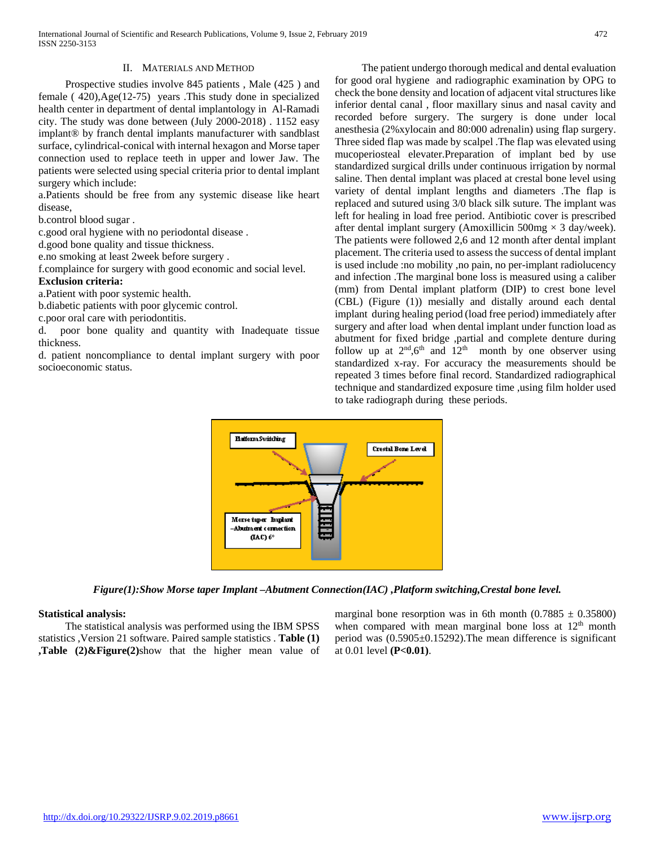## II. MATERIALS AND METHOD

 Prospective studies involve 845 patients , Male (425 ) and female ( 420),Age(12-75) years .This study done in specialized health center in department of dental implantology in Al-Ramadi city. The study was done between (July 2000-2018) . 1152 easy implant® by franch dental implants manufacturer with sandblast surface, cylindrical-conical with internal hexagon and Morse taper connection used to replace teeth in upper and lower Jaw. The patients were selected using special criteria prior to dental implant surgery which include:

a.Patients should be free from any systemic disease like heart disease,

b.control blood sugar .

c.good oral hygiene with no periodontal disease .

d.good bone quality and tissue thickness.

e.no smoking at least 2week before surgery .

f.complaince for surgery with good economic and social level.

### **Exclusion criteria:**

a.Patient with poor systemic health.

b.diabetic patients with poor glycemic control.

c.poor oral care with periodontitis.

d. poor bone quality and quantity with Inadequate tissue thickness.

d. patient noncompliance to dental implant surgery with poor socioeconomic status.

 The patient undergo thorough medical and dental evaluation for good oral hygiene and radiographic examination by OPG to check the bone density and location of adjacent vital structures like inferior dental canal , floor maxillary sinus and nasal cavity and recorded before surgery. The surgery is done under local anesthesia (2%xylocain and 80:000 adrenalin) using flap surgery. Three sided flap was made by scalpel .The flap was elevated using mucoperiosteal elevater.Preparation of implant bed by use standardized surgical drills under continuous irrigation by normal saline. Then dental implant was placed at crestal bone level using variety of dental implant lengths and diameters .The flap is replaced and sutured using 3/0 black silk suture. The implant was left for healing in load free period. Antibiotic cover is prescribed after dental implant surgery (Amoxillicin  $500mg \times 3$  day/week). The patients were followed 2,6 and 12 month after dental implant placement. The criteria used to assess the success of dental implant is used include :no mobility ,no pain, no per-implant radiolucency and infection .The marginal bone loss is measured using a caliber (mm) from Dental implant platform (DIP) to crest bone level (CBL) (Figure (1)) mesially and distally around each dental implant during healing period (load free period) immediately after surgery and after load when dental implant under function load as abutment for fixed bridge ,partial and complete denture during follow up at  $2<sup>nd</sup>$ ,  $6<sup>th</sup>$  and  $12<sup>th</sup>$  month by one observer using standardized x-ray. For accuracy the measurements should be repeated 3 times before final record. Standardized radiographical technique and standardized exposure time ,using film holder used to take radiograph during these periods.



*Figure(1):Show Morse taper Implant –Abutment Connection(IAC) ,Platform switching,Crestal bone level.*

## **Statistical analysis:**

 The statistical analysis was performed using the IBM SPSS statistics ,Version 21 software. Paired sample statistics . **Table (1) ,Table (2)&Figure(2)**show that the higher mean value of marginal bone resorption was in 6th month  $(0.7885 \pm 0.35800)$ when compared with mean marginal bone loss at  $12<sup>th</sup>$  month period was (0.5905±0.15292).The mean difference is significant at 0.01 level **(P<0.01)**.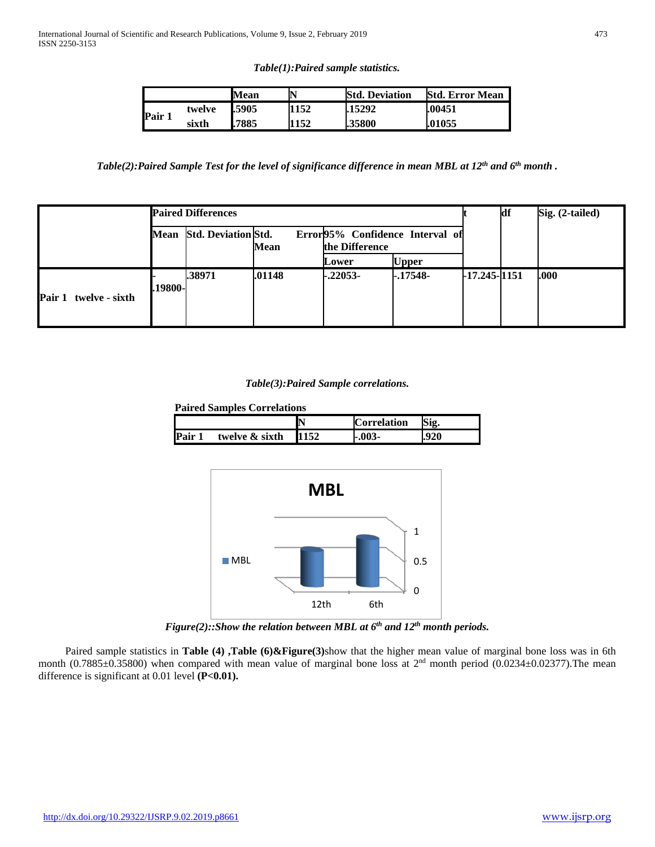*Table(1):Paired sample statistics.*

|        |        | Mean  |      | <b>Std. Deviation</b> | <b>Std. Error Mean</b> |
|--------|--------|-------|------|-----------------------|------------------------|
|        | twelve | .5905 | 152  | .15292                | .00451                 |
| Pair 1 | sixth  | .7885 | 1152 | .35800                | .01055                 |

*Table(2):Paired Sample Test for the level of significance difference in mean MBL at 12th and 6th month .*

|                       |          | <b>Paired Differences</b>  |        |                                                   |              |                  | df | Sig. (2-tailed) |
|-----------------------|----------|----------------------------|--------|---------------------------------------------------|--------------|------------------|----|-----------------|
|                       | Mean     | <b>Std. Deviation Std.</b> | Mean   | Error95% Confidence Interval of<br>the Difference |              |                  |    |                 |
|                       |          |                            |        | Lower                                             | <b>Upper</b> |                  |    |                 |
| Pair 1 twelve - sixth | .19800-l | .38971                     | .01148 | $-.22053-$                                        | $-.17548-$   | $-17.245 - 1151$ |    | <b>000.</b>     |

*Table(3):Paired Sample correlations.*

**Paired Samples Correlations**

|      |                | r    | <b>Correlation</b> | Sig. |
|------|----------------|------|--------------------|------|
| Pair | twelve & sixth | 1152 | -.003-             | .920 |



*Figure(2)::Show the relation between MBL at 6<sup>th</sup> and 12<sup>th</sup> month periods.* 

Paired sample statistics in **Table (4)**, Table (6)&Figure(3)show that the higher mean value of marginal bone loss was in 6th month  $(0.7885\pm0.35800)$  when compared with mean value of marginal bone loss at  $2<sup>nd</sup>$  month period  $(0.0234\pm0.02377)$ . The mean difference is significant at 0.01 level (P<0.01).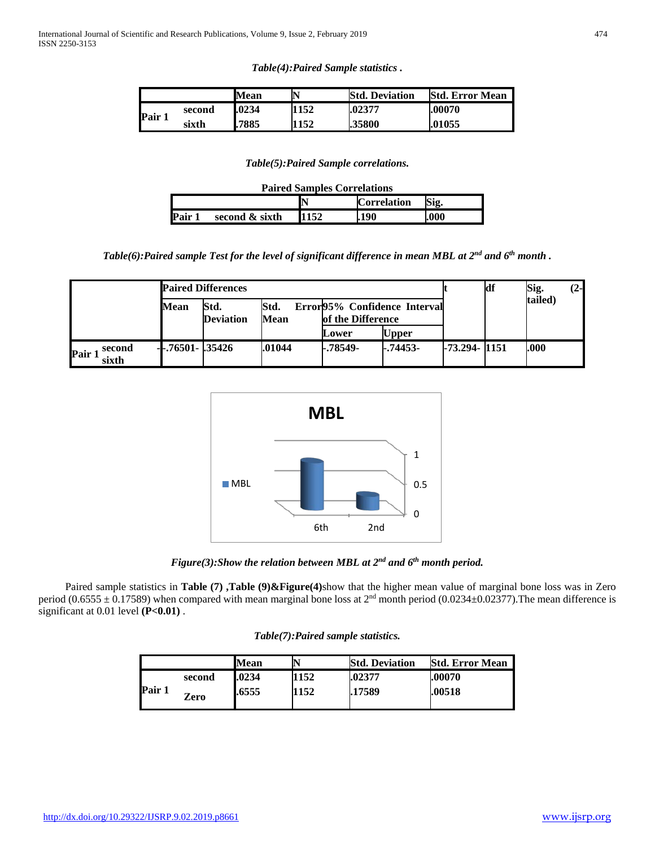|        |        | Mean   |      | <b>Std. Deviation</b> | <b>Std. Error Mean</b> |
|--------|--------|--------|------|-----------------------|------------------------|
| Pair 1 | second | .0234  | 1152 | .02377                | .00070                 |
|        | sixth  | 1.7885 | 1152 | .35800                | .01055                 |

*Table(5):Paired Sample correlations.*

| <b>Paired Samples Correlations</b> |                |      |                    |      |  |
|------------------------------------|----------------|------|--------------------|------|--|
|                                    |                |      | <b>Correlation</b> | Sig. |  |
| Pair 1                             | second & sixth | 1152 | 190                | .000 |  |

*Table(6):Paired sample Test for the level of significant difference in mean MBL at 2nd and 6th month .*

|                         | <b>Paired Differences</b> |                          |              |                                                   |              |                  | ldf | Sig.    | $(2-$ |
|-------------------------|---------------------------|--------------------------|--------------|---------------------------------------------------|--------------|------------------|-----|---------|-------|
|                         | Mean                      | Std.<br><b>Deviation</b> | Std.<br>Mean | Error95% Confidence Interval<br>of the Difference |              |                  |     | tailed) |       |
|                         |                           |                          |              | Lower                                             | <b>Upper</b> |                  |     |         |       |
| second<br>Pair<br>sixth | $-0.76501 - 0.35426$      |                          | .01044       | -.78549-                                          | -.74453-     | $-73.294 - 1151$ |     | .000    |       |



*Figure(3):Show the relation between MBL at 2nd and 6th month period.*

 Paired sample statistics in **Table (7) ,Table (9)&Figure(4)**show that the higher mean value of marginal bone loss was in Zero period (0.6555  $\pm$  0.17589) when compared with mean marginal bone loss at 2<sup>nd</sup> month period (0.0234 $\pm$ 0.02377). The mean difference is significant at 0.01 level **(P<0.01)** .

| Table(7): Paired sample statistics. |  |  |
|-------------------------------------|--|--|
|-------------------------------------|--|--|

|        |        | Mean  |      | <b>Std. Deviation</b> | <b>Std. Error Mean</b> |
|--------|--------|-------|------|-----------------------|------------------------|
|        | second | .0234 | 1152 | .02377                | .00070                 |
| Pair 1 | Zero   | .6555 | 1152 | .17589                | .00518                 |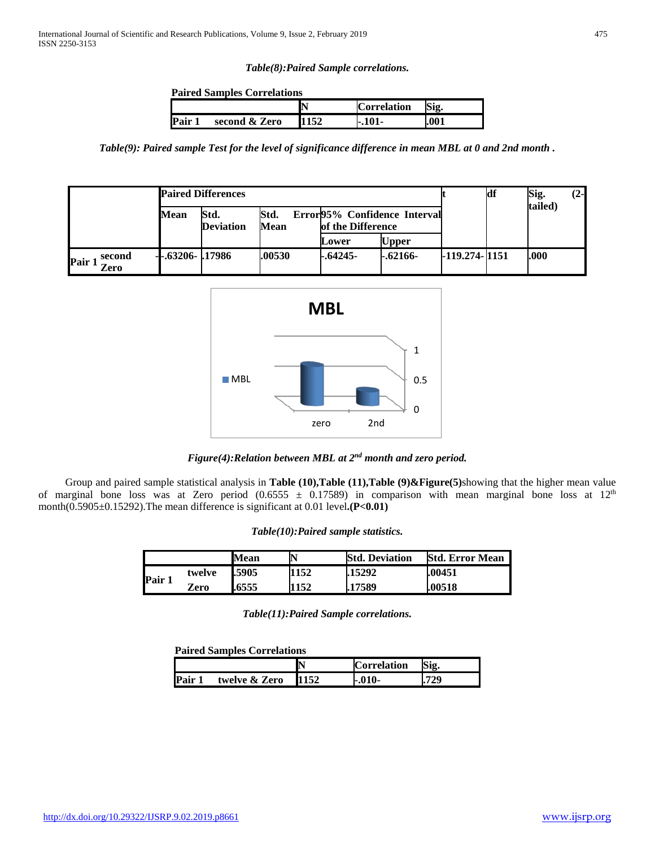## *Table(8):Paired Sample correlations.*

### **Paired Samples Correlations**

|      |               | N | <b>Correlation</b> | Sig. |
|------|---------------|---|--------------------|------|
| Pair | second & Zero |   | -.101-             | .001 |

*Table(9): Paired sample Test for the level of significance difference in mean MBL at 0 and 2nd month .*

|                        | <b>Paired Differences</b> |                          |              |                                                   |              |                   | df | Sig.    | $(2-$ |
|------------------------|---------------------------|--------------------------|--------------|---------------------------------------------------|--------------|-------------------|----|---------|-------|
|                        | <b>Mean</b>               | Std.<br><b>Deviation</b> | Std.<br>Mean | Error95% Confidence Interval<br>of the Difference |              |                   |    | tailed) |       |
|                        |                           |                          |              | Lower                                             | <b>Upper</b> |                   |    |         |       |
| second<br>Pair<br>Zero | $-.63206-.17986$          |                          | .00530       | -.64245-                                          | $-.62166-$   | $-119.274 - 1151$ |    | .000    |       |





 Group and paired sample statistical analysis in **Table (10),Table (11),Table (9)&Figure(5)**showing that the higher mean value of marginal bone loss was at Zero period (0.6555  $\pm$  0.17589) in comparison with mean marginal bone loss at 12<sup>th</sup> month(0.5905±0.15292). The mean difference is significant at 0.01 level.**(P<0.01)** 

| Table(10): Paired sample statistics. |  |  |
|--------------------------------------|--|--|
|--------------------------------------|--|--|

|        |        | Mean  |      | <b>Std. Deviation</b> | <b>Std. Error Mean</b> |
|--------|--------|-------|------|-----------------------|------------------------|
| Pair 1 | twelve | .5905 | 1152 | .15292                | .00451                 |
|        | Zero   | .6555 | 1152 | .17589                | .00518                 |

*Table(11):Paired Sample correlations.*

**Paired Samples Correlations**

|               | Þ    | $\mathsf{I}^{\mathsf{C}}$<br>orrelation | Sig.     |
|---------------|------|-----------------------------------------|----------|
| twelve & Zero | 1152 | $-.010-$                                | 770<br>⊷ |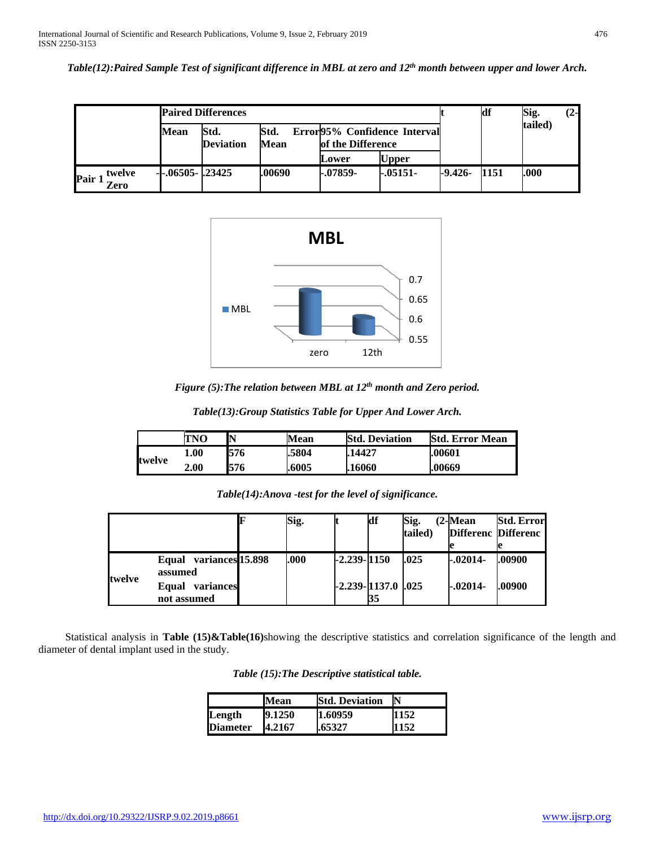*Table(12):Paired Sample Test of significant difference in MBL at zero and 12th month between upper and lower Arch.*

|                        | <b>Paired Differences</b> |                          |              |                                                   |              |           | df      | Sig. | $(2-$ |
|------------------------|---------------------------|--------------------------|--------------|---------------------------------------------------|--------------|-----------|---------|------|-------|
|                        | Mean                      | Std.<br><b>Deviation</b> | Std.<br>Mean | Error95% Confidence Interval<br>of the Difference |              |           | tailed) |      |       |
|                        |                           |                          |              | Lower                                             | <b>Upper</b> |           |         |      |       |
| twelve<br>Pair<br>Zero | $-.06505-.23425$          |                          | .00690       | $-.07859-$                                        | $-.05151-.$  | $-9.426-$ | 1151    | .000 |       |



*Figure (5):The relation between MBL at 12th month and Zero period.*

|               | TNO  | N   | Mean   | <b>Std. Deviation</b> | <b>Std. Error Mean</b> |
|---------------|------|-----|--------|-----------------------|------------------------|
| <b>twelve</b> | 1.00 | 576 | 1.5804 | .14427                | .00601                 |
|               | 2.00 | 576 | .6005  | .16060                | .00669                 |

|        |                                                 | Sig. |                 | df                       | Sig.    | $(2$ -Mean                 | <b>Std. Error</b> |
|--------|-------------------------------------------------|------|-----------------|--------------------------|---------|----------------------------|-------------------|
|        |                                                 |      |                 |                          | tailed) | <b>Differenc</b> Differenc |                   |
|        |                                                 |      |                 |                          |         |                            |                   |
| twelve | variances <sup>15.898</sup><br>Equal<br>assumed | .000 | $-2.239 - 1150$ |                          | .025    | $-.02014-.$                | .00900            |
|        | variances<br>Equal<br>not assumed               |      |                 | -2.239-1137.0 .025<br>35 |         | $-.02014-.$                | .00900            |

 Statistical analysis in **Table (15)&Table(16)**showing the descriptive statistics and correlation significance of the length and diameter of dental implant used in the study.

|                 | Mean   | <b>Std. Deviation</b> | IN   |
|-----------------|--------|-----------------------|------|
| Length          | 9.1250 | 1.60959               | 1152 |
| <b>Diameter</b> | 4.2167 | .65327                | 1152 |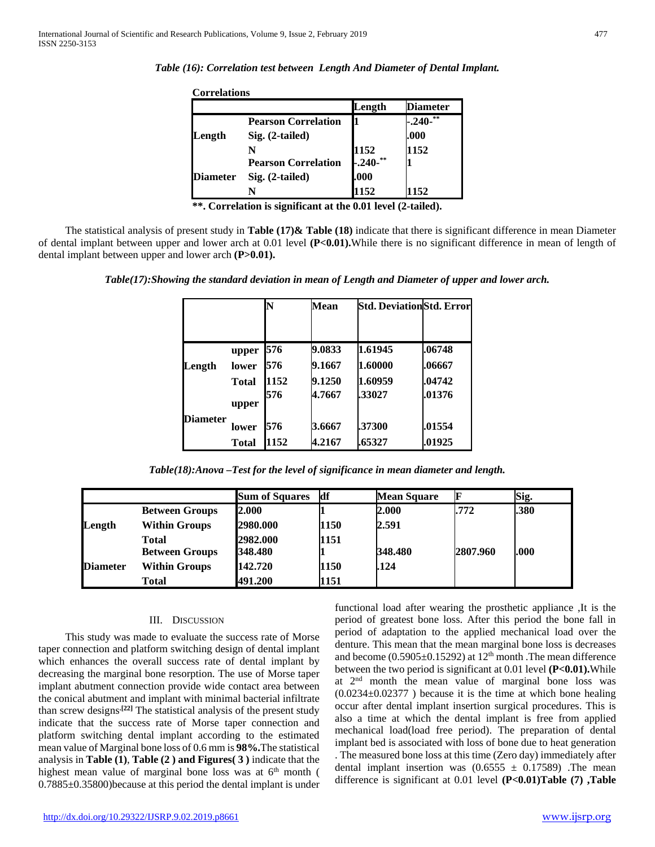| <b>Correlations</b> |                            |                        |                 |
|---------------------|----------------------------|------------------------|-----------------|
|                     |                            | Length                 | <b>Diameter</b> |
|                     | <b>Pearson Correlation</b> |                        | **<br>$-.240-$  |
| Length              | Sig. (2-tailed)            |                        | .000            |
|                     | N                          | 1152                   | 1152            |
|                     | <b>Pearson Correlation</b> | $-0.240$ <sup>**</sup> |                 |
| <b>Diameter</b>     | Sig. (2-tailed)            | .000                   |                 |
|                     | N                          | 1152                   | 152             |

**\*\*. Correlation is significant at the 0.01 level (2-tailed).**

 The statistical analysis of present study in **Table (17)& Table (18)** indicate that there is significant difference in mean Diameter of dental implant between upper and lower arch at 0.01 level **(P<0.01).**While there is no significant difference in mean of length of dental implant between upper and lower arch **(P>0.01).**

*Table(17):Showing the standard deviation in mean of Length and Diameter of upper and lower arch.*

|                 |              |      | Mean   |         | <b>Std. DeviationStd. Error</b> |
|-----------------|--------------|------|--------|---------|---------------------------------|
|                 |              |      |        |         |                                 |
|                 | upper        | 576  | 9.0833 | 1.61945 | .06748                          |
| Length          | lower        | 576  | 9.1667 | 1.60000 | .06667                          |
|                 | Total        | 1152 | 9.1250 | 1.60959 | .04742                          |
|                 | upper        | 576  | 4.7667 | .33027  | .01376                          |
| <b>Diameter</b> | lower        | 576  | 3.6667 | .37300  | .01554                          |
|                 | <b>Total</b> | 1152 | 4.2167 | .65327  | .01925                          |

*Table(18):Anova –Test for the level of significance in mean diameter and length.*

|                 |                       | <b>Sum of Squares</b> | df   | <b>Mean Square</b> |          | Sig. |
|-----------------|-----------------------|-----------------------|------|--------------------|----------|------|
|                 | <b>Between Groups</b> | 2.000                 |      | 2.000              | .772     | .380 |
| Length          | <b>Within Groups</b>  | 2980.000              | 1150 | 2.591              |          |      |
|                 | <b>Total</b>          | 2982.000              | 1151 |                    |          |      |
| <b>Diameter</b> | <b>Between Groups</b> | 348.480               |      | 348.480            | 2807.960 | .000 |
|                 | <b>Within Groups</b>  | 142.720               | 1150 | 1.124              |          |      |
|                 | Total                 | 491.200               | 1151 |                    |          |      |

## III. DISCUSSION

 This study was made to evaluate the success rate of Morse taper connection and platform switching design of dental implant which enhances the overall success rate of dental implant by decreasing the marginal bone resorption. The use of Morse taper implant abutment connection provide wide contact area between the conical abutment and implant with minimal bacterial infiltrate than screw designs**.[22]** The statistical analysis of the present study indicate that the success rate of Morse taper connection and platform switching dental implant according to the estimated mean value of Marginal bone loss of 0.6 mm is **98%.**The statistical analysis in **Table (1)**, **Table (2 ) and Figures( 3 )** indicate that the highest mean value of marginal bone loss was at  $6<sup>th</sup>$  month ( 0.7885±0.35800)because at this period the dental implant is under

functional load after wearing the prosthetic appliance ,It is the period of greatest bone loss. After this period the bone fall in period of adaptation to the applied mechanical load over the denture. This mean that the mean marginal bone loss is decreases and become  $(0.5905\pm0.15292)$  at  $12<sup>th</sup>$  month . The mean difference between the two period is significant at 0.01 level **(P<0.01).**While at  $2<sup>nd</sup>$  month the mean value of marginal bone loss was  $(0.0234 \pm 0.02377)$  because it is the time at which bone healing occur after dental implant insertion surgical procedures. This is also a time at which the dental implant is free from applied mechanical load(load free period). The preparation of dental implant bed is associated with loss of bone due to heat generation . The measured bone loss at this time (Zero day) immediately after dental implant insertion was  $(0.6555 \pm 0.17589)$ . The mean difference is significant at 0.01 level **(P<0.01)Table (7) ,Table**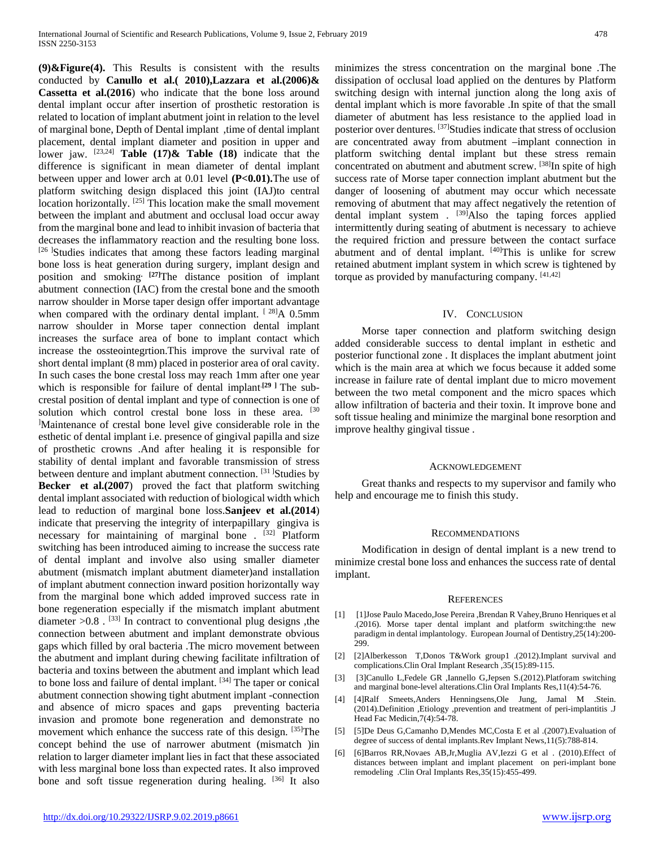**(9)&Figure(4).** This Results is consistent with the results conducted by **Canullo et al.( 2010),Lazzara et al.(2006)& Cassetta et al.(2016**) who indicate that the bone loss around dental implant occur after insertion of prosthetic restoration is related to location of implant abutment joint in relation to the level of marginal bone, Depth of Dental implant ,time of dental implant placement, dental implant diameter and position in upper and lower jaw. [23,24] **Table (17)& Table (18)** indicate that the difference is significant in mean diameter of dental implant between upper and lower arch at 0.01 level **(P<0.01).**The use of platform switching design displaced this joint (IAJ)to central location horizontally. [25] This location make the small movement between the implant and abutment and occlusal load occur away from the marginal bone and lead to inhibit invasion of bacteria that decreases the inflammatory reaction and the resulting bone loss. [26] Studies indicates that among these factors leading marginal bone loss is heat generation during surgery, implant design and position and smoking**. [27]**The distance position of implant abutment connection (IAC) from the crestal bone and the smooth narrow shoulder in Morse taper design offer important advantage when compared with the ordinary dental implant. [28]A 0.5mm narrow shoulder in Morse taper connection dental implant increases the surface area of bone to implant contact which increase the ossteointegrtion.This improve the survival rate of short dental implant (8 mm) placed in posterior area of oral cavity. In such cases the bone crestal loss may reach 1mm after one year which is responsible for failure of dental implant<sup>[29]</sup> The subcrestal position of dental implant and type of connection is one of solution which control crestal bone loss in these area. [30] ] Maintenance of crestal bone level give considerable role in the esthetic of dental implant i.e. presence of gingival papilla and size of prosthetic crowns .And after healing it is responsible for stability of dental implant and favorable transmission of stress between denture and implant abutment connection. <sup>[31]</sup>Studies by **Becker et al.(2007**) proved the fact that platform switching dental implant associated with reduction of biological width which lead to reduction of marginal bone loss.**Sanjeev et al.(2014**) indicate that preserving the integrity of interpapillary gingiva is necessary for maintaining of marginal bone . [32] Platform switching has been introduced aiming to increase the success rate of dental implant and involve also using smaller diameter abutment (mismatch implant abutment diameter)and installation of implant abutment connection inward position horizontally way from the marginal bone which added improved success rate in bone regeneration especially if the mismatch implant abutment diameter >0.8 . [33] In contract to conventional plug designs ,the connection between abutment and implant demonstrate obvious gaps which filled by oral bacteria .The micro movement between the abutment and implant during chewing facilitate infiltration of bacteria and toxins between the abutment and implant which lead to bone loss and failure of dental implant. [34] The taper or conical abutment connection showing tight abutment implant -connection and absence of micro spaces and gaps preventing bacteria invasion and promote bone regeneration and demonstrate no movement which enhance the success rate of this design. [35] The concept behind the use of narrower abutment (mismatch )in relation to larger diameter implant lies in fact that these associated with less marginal bone loss than expected rates. It also improved bone and soft tissue regeneration during healing. [36] It also

minimizes the stress concentration on the marginal bone .The dissipation of occlusal load applied on the dentures by Platform switching design with internal junction along the long axis of dental implant which is more favorable .In spite of that the small diameter of abutment has less resistance to the applied load in posterior over dentures. [37]Studies indicate that stress of occlusion are concentrated away from abutment –implant connection in platform switching dental implant but these stress remain concentrated on abutment and abutment screw. [38]In spite of high success rate of Morse taper connection implant abutment but the danger of loosening of abutment may occur which necessate removing of abutment that may affect negatively the retention of dental implant system . <sup>[39]</sup>Also the taping forces applied intermittently during seating of abutment is necessary to achieve the required friction and pressure between the contact surface abutment and of dental implant. [40]This is unlike for screw retained abutment implant system in which screw is tightened by torque as provided by manufacturing company. [41,42]

#### IV. CONCLUSION

 Morse taper connection and platform switching design added considerable success to dental implant in esthetic and posterior functional zone . It displaces the implant abutment joint which is the main area at which we focus because it added some increase in failure rate of dental implant due to micro movement between the two metal component and the micro spaces which allow infiltration of bacteria and their toxin. It improve bone and soft tissue healing and minimize the marginal bone resorption and improve healthy gingival tissue .

#### ACKNOWLEDGEMENT

 Great thanks and respects to my supervisor and family who help and encourage me to finish this study.

#### RECOMMENDATIONS

 Modification in design of dental implant is a new trend to minimize crestal bone loss and enhances the success rate of dental implant.

#### **REFERENCES**

- [1] [1]Jose Paulo Macedo,Jose Pereira ,Brendan R Vahey,Bruno Henriques et al .(2016). Morse taper dental implant and platform switching:the new paradigm in dental implantology. European Journal of Dentistry,25(14):200- 299.
- [2] [2]Alberkesson T,Donos T&Work group1 .(2012).Implant survival and complications.Clin Oral Implant Research ,35(15):89-115.
- [3] [3]Canullo L,Fedele GR ,Iannello G,Jepsen S.(2012).Platforam switching and marginal bone-level alterations.Clin Oral Implants Res,11(4):54-76.
- [4] [4]Ralf Smeets,Anders Henningsens,Ole Jung, Jamal M .Stein. (2014).Definition ,Etiology ,prevention and treatment of peri-implantitis .J Head Fac Medicin,7(4):54-78.
- [5] [5]De Deus G,Camanho D,Mendes MC,Costa E et al .(2007).Evaluation of degree of success of dental implants.Rev Implant News,11(5):788-814.
- [6] [6]Barros RR,Novaes AB,Jr,Muglia AV,Iezzi G et al . (2010).Effect of distances between implant and implant placement on peri-implant bone remodeling .Clin Oral Implants Res,35(15):455-499.